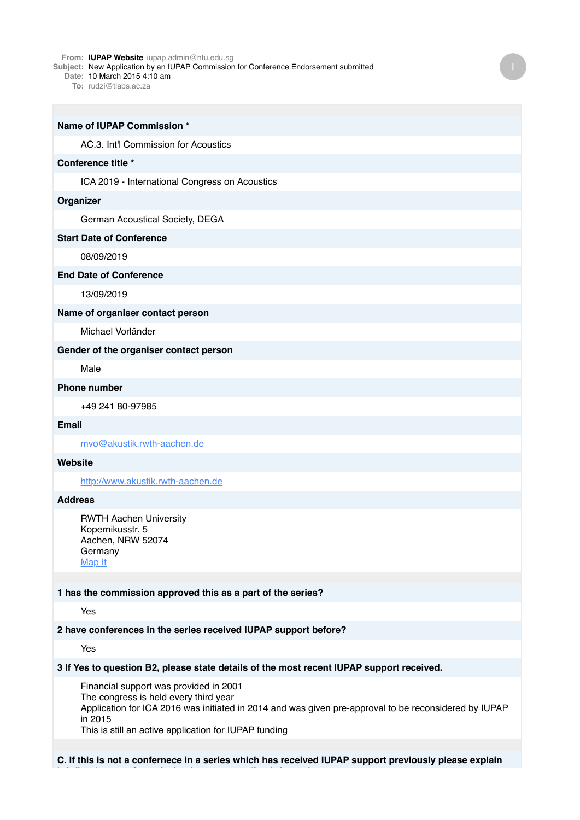#### **From: IUPAP Website** iupap.admin@ntu.edu.sg

**Subject:** New Application by an IUPAP Commission for Conference Endorsement submitted

**Date:** 10 March 2015 4:10 am

**To:** rudzi@tlabs.ac.za

| Name of IUPAP Commission *                     |
|------------------------------------------------|
| AC.3. Int'l Commission for Acoustics           |
| Conference title *                             |
| ICA 2019 - International Congress on Acoustics |
| Organizer                                      |
| German Acoustical Society, DEGA                |
| <b>Start Date of Conference</b>                |
| 08/09/2019                                     |
| <b>End Date of Conference</b>                  |
| 13/09/2019                                     |
| Name of organiser contact person               |
| Michael Vorländer                              |
| Gender of the organiser contact person         |
| Male                                           |
| <b>Phone number</b>                            |
| +49 241 80-97985                               |
| <b>Email</b>                                   |
| mvo@akustik.rwth-aachen.de                     |
| Website                                        |
| http://www.akustik.rwth-aachen.de              |

## **Address**

RWTH Aachen University Kopernikusstr. 5 Aachen, NRW 52074 Germany [Map It](http://maps.google.com/maps?q=RWTH+Aachen+University+Kopernikusstr.+5+Aachen%2C+NRW+52074+Germany)

## **1 has the commission approved this as a part of the series?**

Yes

#### **2 have conferences in the series received IUPAP support before?**

Yes

### **3 If Yes to question B2, please state details of the most recent IUPAP support received.**

Financial support was provided in 2001 The congress is held every third year Application for ICA 2016 was initiated in 2014 and was given pre-approval to be reconsidered by IUPAP in 2015 This is still an active application for IUPAP funding

**C. If this is not a confernece in a series which has received IUPAP support previously please explain**